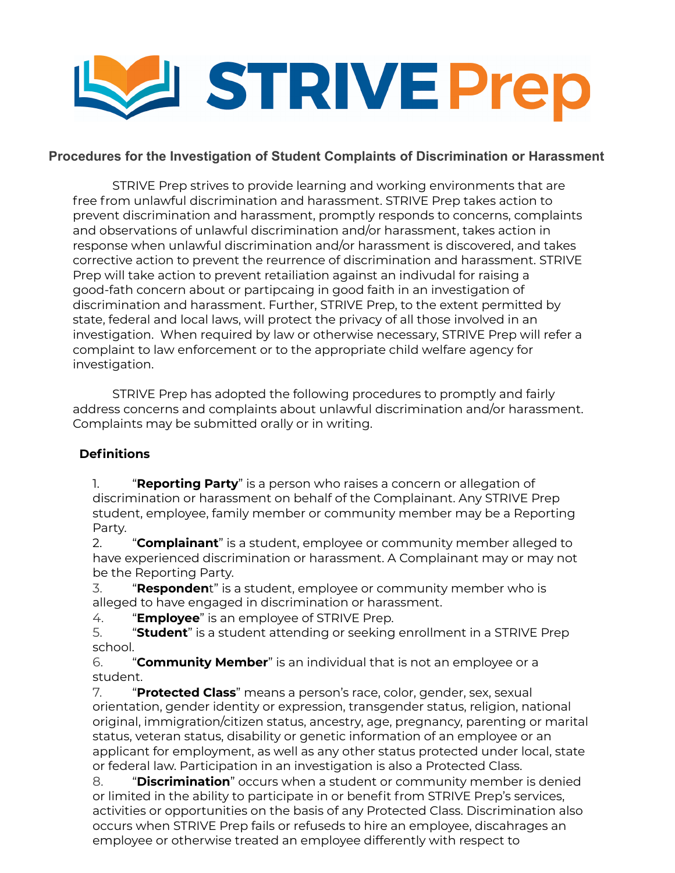

## **Procedures for the Investigation of Student Complaints of Discrimination or Harassment**

STRIVE Prep strives to provide learning and working environments that are free from unlawful discrimination and harassment. STRIVE Prep takes action to prevent discrimination and harassment, promptly responds to concerns, complaints and observations of unlawful discrimination and/or harassment, takes action in response when unlawful discrimination and/or harassment is discovered, and takes corrective action to prevent the reurrence of discrimination and harassment. STRIVE Prep will take action to prevent retailiation against an indivudal for raising a good-fath concern about or partipcaing in good faith in an investigation of discrimination and harassment. Further, STRIVE Prep, to the extent permitted by state, federal and local laws, will protect the privacy of all those involved in an investigation. When required by law or otherwise necessary, STRIVE Prep will refer a complaint to law enforcement or to the appropriate child welfare agency for investigation.

STRIVE Prep has adopted the following procedures to promptly and fairly address concerns and complaints about unlawful discrimination and/or harassment. Complaints may be submitted orally or in writing.

# **Definitions**

1. "**Reporting Party**" is a person who raises a concern or allegation of discrimination or harassment on behalf of the Complainant. Any STRIVE Prep student, employee, family member or community member may be a Reporting Party.

2. "**Complainant**" is a student, employee or community member alleged to have experienced discrimination or harassment. A Complainant may or may not be the Reporting Party.

3. "**Responden**t" is a student, employee or community member who is alleged to have engaged in discrimination or harassment.

4. "**Employee**" is an employee of STRIVE Prep.

5. "**Student**" is a student attending or seeking enrollment in a STRIVE Prep school.

6. "**Community Member**" is an individual that is not an employee or a student.

7. "**Protected Class**" means a person's race, color, gender, sex, sexual orientation, gender identity or expression, transgender status, religion, national original, immigration/citizen status, ancestry, age, pregnancy, parenting or marital status, veteran status, disability or genetic information of an employee or an applicant for employment, as well as any other status protected under local, state or federal law. Participation in an investigation is also a Protected Class.

8. "**Discrimination**" occurs when a student or community member is denied or limited in the ability to participate in or benefit from STRIVE Prep's services, activities or opportunities on the basis of any Protected Class. Discrimination also occurs when STRIVE Prep fails or refuseds to hire an employee, discahrages an employee or otherwise treated an employee differently with respect to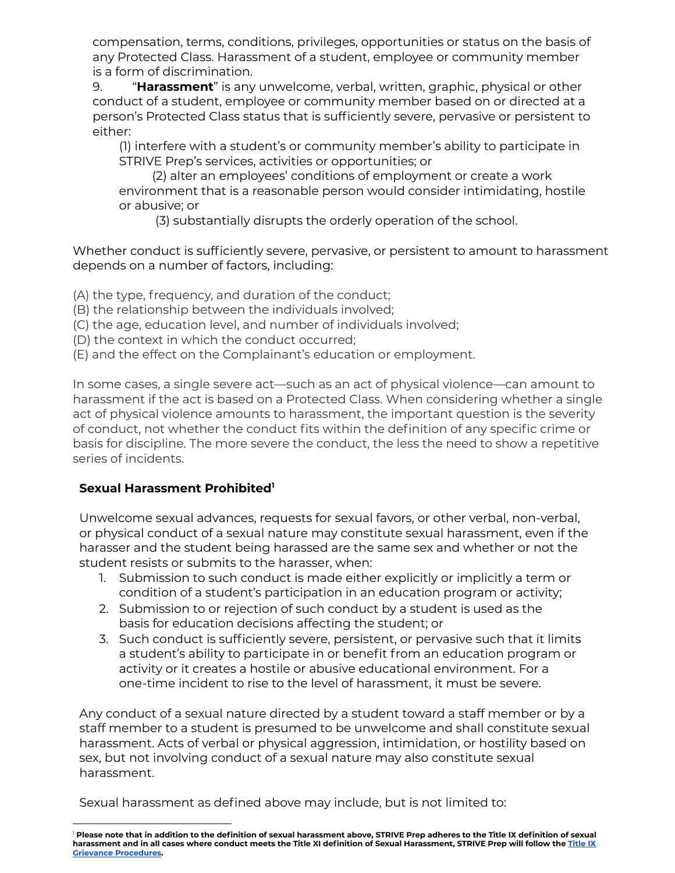compensation, terms, conditions, privileges, opportunities or status on the basis of any Protected Class. Harassment of a student, employee or community member is a form of discrimination.

9. "**Harassment**" is any unwelcome, verbal, written, graphic, physical or other conduct of a student, employee or community member based on or directed at a person's Protected Class status that is sufficiently severe, pervasive or persistent to either:

(1) interfere with a student's or community member's ability to participate in STRIVE Prep's services, activities or opportunities; or

(2) alter an employees' conditions of employment or create a work environment that is a reasonable person would consider intimidating, hostile or abusive; or

(3) substantially disrupts the orderly operation of the school.

Whether conduct is sufficiently severe, pervasive, or persistent to amount to harassment depends on a number of factors, including:

(A) the type, frequency, and duration of the conduct;

- (B) the relationship between the individuals involved;
- (C) the age, education level, and number of individuals involved;
- (D) the context in which the conduct occurred;
- (E) and the effect on the Complainant's education or employment.

In some cases, a single severe act—such as an act of physical violence—can amount to harassment if the act is based on a Protected Class. When considering whether a single act of physical violence amounts to harassment, the important question is the severity of conduct, not whether the conduct fits within the definition of any specific crime or basis for discipline. The more severe the conduct, the less the need to show a repetitive series of incidents.

# **Sexual Harassment Prohibited 1**

Unwelcome sexual advances, requests for sexual favors, or other verbal, non-verbal, or physical conduct of a sexual nature may constitute sexual harassment, even if the harasser and the student being harassed are the same sex and whether or not the student resists or submits to the harasser, when:

- 1. Submission to such conduct is made either explicitly or implicitly a term or condition of a student's participation in an education program or activity;
- 2. Submission to or rejection of such conduct by a student is used as the basis for education decisions affecting the student; or
- 3. Such conduct is sufficiently severe, persistent, or pervasive such that it limits a student's ability to participate in or benefit from an education program or activity or it creates a hostile or abusive educational environment. For a one-time incident to rise to the level of harassment, it must be severe.

Any conduct of a sexual nature directed by a student toward a staff member or by a staff member to a student is presumed to be unwelcome and shall constitute sexual harassment. Acts of verbal or physical aggression, intimidation, or hostility based on sex, but not involving conduct of a sexual nature may also constitute sexual harassment.

Sexual harassment as defined above may include, but is not limited to:

Please note that in addition to the definition of sexual harassment above, STRIVE Prep adheres to the Title IX definition of sexual harassment and in all cases where conduct meets the [Title](https://docs.google.com/document/d/1MTVjsH65qbvLfnKcivB0aICf3V6mi9lWrKH_D1_DjnM/edit?usp=sharing) XI definition of Sexual Harassment, STRIVE Prep will follow the Title IX **Grievance [Procedures](https://docs.google.com/document/d/1MTVjsH65qbvLfnKcivB0aICf3V6mi9lWrKH_D1_DjnM/edit?usp=sharing).**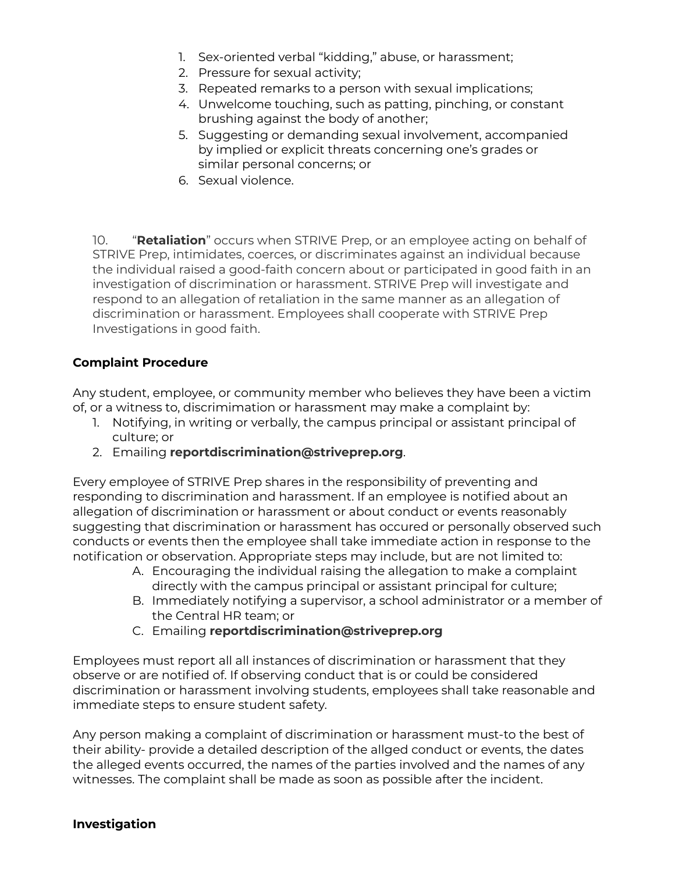- 1. Sex-oriented verbal "kidding," abuse, or harassment;
- 2. Pressure for sexual activity;
- 3. Repeated remarks to a person with sexual implications;
- 4. Unwelcome touching, such as patting, pinching, or constant brushing against the body of another;
- 5. Suggesting or demanding sexual involvement, accompanied by implied or explicit threats concerning one's grades or similar personal concerns; or
- 6. Sexual violence.

10. "**Retaliation**" occurs when STRIVE Prep, or an employee acting on behalf of STRIVE Prep, intimidates, coerces, or discriminates against an individual because the individual raised a good-faith concern about or participated in good faith in an investigation of discrimination or harassment. STRIVE Prep will investigate and respond to an allegation of retaliation in the same manner as an allegation of discrimination or harassment. Employees shall cooperate with STRIVE Prep Investigations in good faith.

#### **Complaint Procedure**

Any student, employee, or community member who believes they have been a victim of, or a witness to, discrimimation or harassment may make a complaint by:

- 1. Notifying, in writing or verbally, the campus principal or assistant principal of culture; or
- 2. Emailing **reportdiscrimination@striveprep.org**.

Every employee of STRIVE Prep shares in the responsibility of preventing and responding to discrimination and harassment. If an employee is notified about an allegation of discrimination or harassment or about conduct or events reasonably suggesting that discrimination or harassment has occured or personally observed such conducts or events then the employee shall take immediate action in response to the notification or observation. Appropriate steps may include, but are not limited to:

- A. Encouraging the individual raising the allegation to make a complaint directly with the campus principal or assistant principal for culture;
- B. Immediately notifying a supervisor, a school administrator or a member of the Central HR team; or
- C. Emailing **reportdiscrimination@striveprep.org**

Employees must report all all instances of discrimination or harassment that they observe or are notified of. If observing conduct that is or could be considered discrimination or harassment involving students, employees shall take reasonable and immediate steps to ensure student safety.

Any person making a complaint of discrimination or harassment must-to the best of their ability- provide a detailed description of the allged conduct or events, the dates the alleged events occurred, the names of the parties involved and the names of any witnesses. The complaint shall be made as soon as possible after the incident.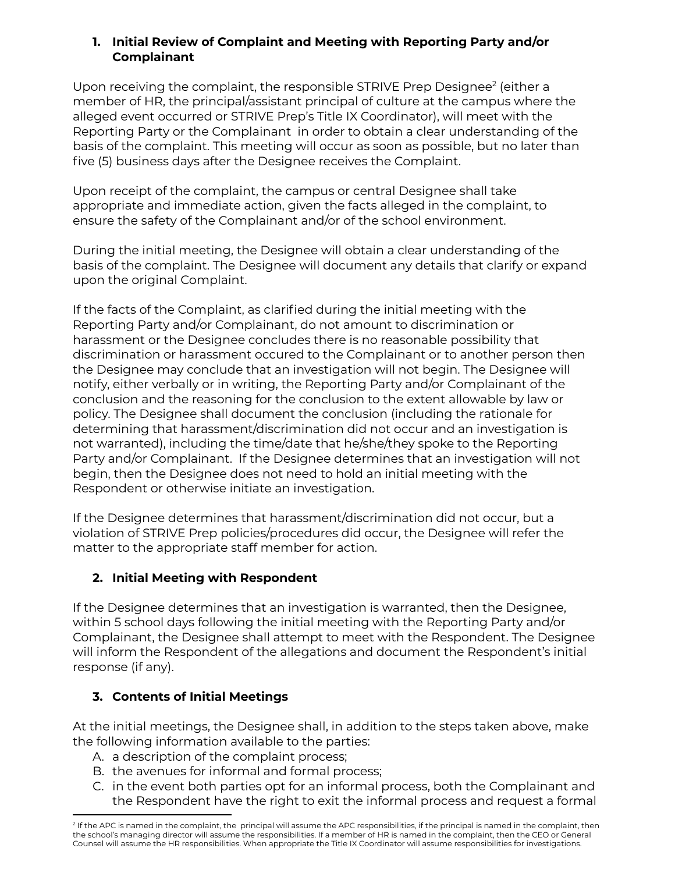### **1. Initial Review of Complaint and Meeting with Reporting Party and/or Complainant**

Upon receiving the complaint, the responsible STRIVE Prep Designee<sup>2</sup> (either a member of HR, the principal/assistant principal of culture at the campus where the alleged event occurred or STRIVE Prep's Title IX Coordinator), will meet with the Reporting Party or the Complainant in order to obtain a clear understanding of the basis of the complaint. This meeting will occur as soon as possible, but no later than five (5) business days after the Designee receives the Complaint.

Upon receipt of the complaint, the campus or central Designee shall take appropriate and immediate action, given the facts alleged in the complaint, to ensure the safety of the Complainant and/or of the school environment.

During the initial meeting, the Designee will obtain a clear understanding of the basis of the complaint. The Designee will document any details that clarify or expand upon the original Complaint.

If the facts of the Complaint, as clarified during the initial meeting with the Reporting Party and/or Complainant, do not amount to discrimination or harassment or the Designee concludes there is no reasonable possibility that discrimination or harassment occured to the Complainant or to another person then the Designee may conclude that an investigation will not begin. The Designee will notify, either verbally or in writing, the Reporting Party and/or Complainant of the conclusion and the reasoning for the conclusion to the extent allowable by law or policy. The Designee shall document the conclusion (including the rationale for determining that harassment/discrimination did not occur and an investigation is not warranted), including the time/date that he/she/they spoke to the Reporting Party and/or Complainant. If the Designee determines that an investigation will not begin, then the Designee does not need to hold an initial meeting with the Respondent or otherwise initiate an investigation.

If the Designee determines that harassment/discrimination did not occur, but a violation of STRIVE Prep policies/procedures did occur, the Designee will refer the matter to the appropriate staff member for action.

# **2. Initial Meeting with Respondent**

If the Designee determines that an investigation is warranted, then the Designee, within 5 school days following the initial meeting with the Reporting Party and/or Complainant, the Designee shall attempt to meet with the Respondent. The Designee will inform the Respondent of the allegations and document the Respondent's initial response (if any).

# **3. Contents of Initial Meetings**

At the initial meetings, the Designee shall, in addition to the steps taken above, make the following information available to the parties:

- A. a description of the complaint process;
- B. the avenues for informal and formal process;
- C. in the event both parties opt for an informal process, both the Complainant and the Respondent have the right to exit the informal process and request a formal

<sup>&</sup>lt;sup>2</sup> If the APC is named in the complaint, the principal will assume the APC responsibilities, if the principal is named in the complaint, then the school's managing director will assume the responsibilities. If a member of HR is named in the complaint, then the CEO or General Counsel will assume the HR responsibilities. When appropriate the Title IX Coordinator will assume responsibilities for investigations.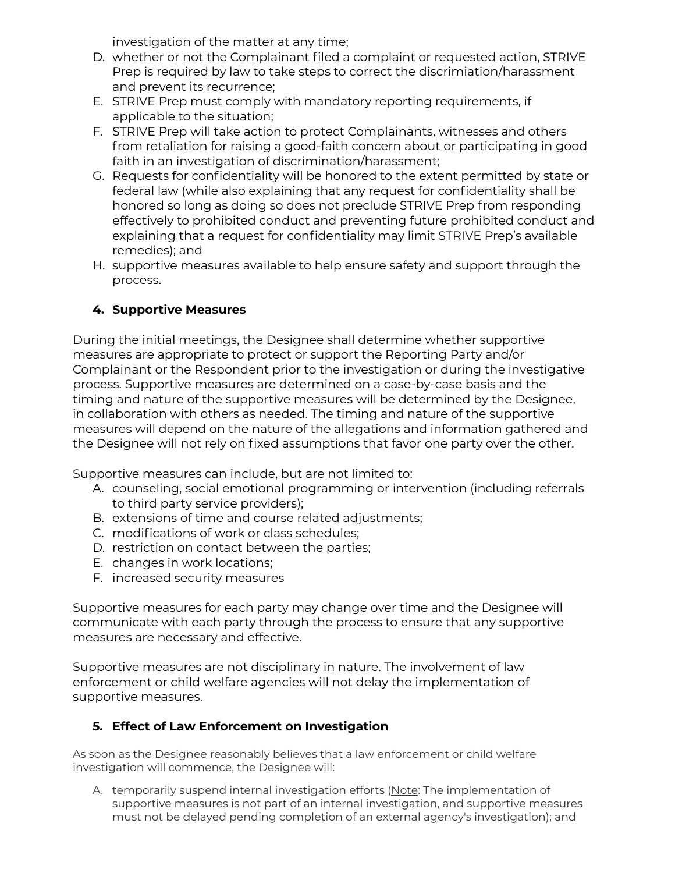investigation of the matter at any time;

- D. whether or not the Complainant filed a complaint or requested action, STRIVE Prep is required by law to take steps to correct the discrimiation/harassment and prevent its recurrence;
- E. STRIVE Prep must comply with mandatory reporting requirements, if applicable to the situation;
- F. STRIVE Prep will take action to protect Complainants, witnesses and others from retaliation for raising a good-faith concern about or participating in good faith in an investigation of discrimination/harassment;
- G. Requests for confidentiality will be honored to the extent permitted by state or federal law (while also explaining that any request for confidentiality shall be honored so long as doing so does not preclude STRIVE Prep from responding effectively to prohibited conduct and preventing future prohibited conduct and explaining that a request for confidentiality may limit STRIVE Prep's available remedies); and
- H. supportive measures available to help ensure safety and support through the process.

# **4. Supportive Measures**

During the initial meetings, the Designee shall determine whether supportive measures are appropriate to protect or support the Reporting Party and/or Complainant or the Respondent prior to the investigation or during the investigative process. Supportive measures are determined on a case-by-case basis and the timing and nature of the supportive measures will be determined by the Designee, in collaboration with others as needed. The timing and nature of the supportive measures will depend on the nature of the allegations and information gathered and the Designee will not rely on fixed assumptions that favor one party over the other.

Supportive measures can include, but are not limited to:

- A. counseling, social emotional programming or intervention (including referrals to third party service providers);
- B. extensions of time and course related adjustments;
- C. modifications of work or class schedules;
- D. restriction on contact between the parties;
- E. changes in work locations;
- F. increased security measures

Supportive measures for each party may change over time and the Designee will communicate with each party through the process to ensure that any supportive measures are necessary and effective.

Supportive measures are not disciplinary in nature. The involvement of law enforcement or child welfare agencies will not delay the implementation of supportive measures.

# **5. Effect of Law Enforcement on Investigation**

As soon as the Designee reasonably believes that a law enforcement or child welfare investigation will commence, the Designee will:

A. temporarily suspend internal investigation efforts (Note: The implementation of supportive measures is not part of an internal investigation, and supportive measures must not be delayed pending completion of an external agency's investigation); and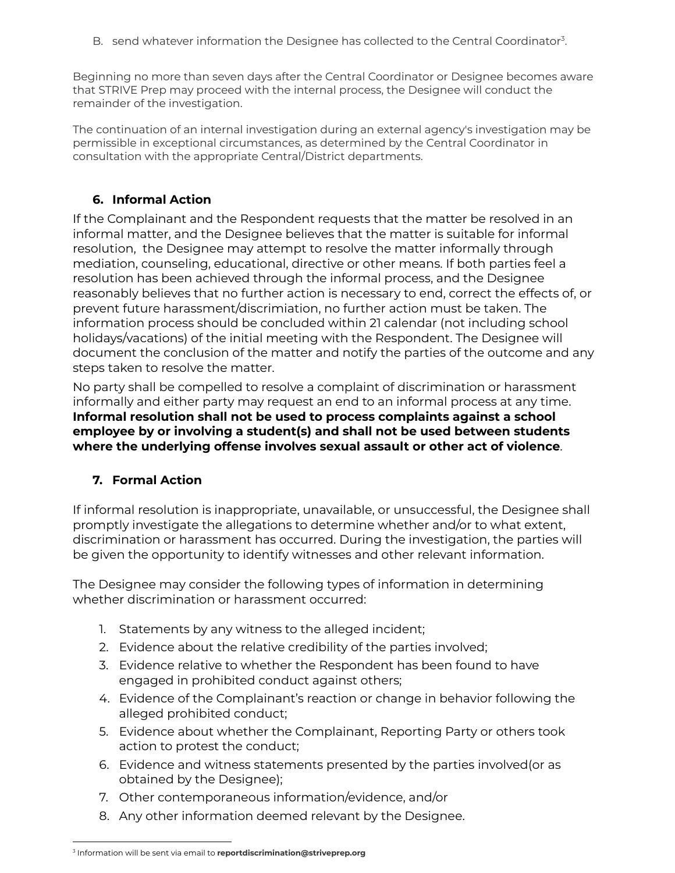B. send whatever information the Designee has collected to the Central Coordinator<sup>3</sup>.

Beginning no more than seven days after the Central Coordinator or Designee becomes aware that STRIVE Prep may proceed with the internal process, the Designee will conduct the remainder of the investigation.

The continuation of an internal investigation during an external agency's investigation may be permissible in exceptional circumstances, as determined by the Central Coordinator in consultation with the appropriate Central/District departments.

# **6. Informal Action**

If the Complainant and the Respondent requests that the matter be resolved in an informal matter, and the Designee believes that the matter is suitable for informal resolution, the Designee may attempt to resolve the matter informally through mediation, counseling, educational, directive or other means. If both parties feel a resolution has been achieved through the informal process, and the Designee reasonably believes that no further action is necessary to end, correct the effects of, or prevent future harassment/discrimiation, no further action must be taken. The information process should be concluded within 21 calendar (not including school holidays/vacations) of the initial meeting with the Respondent. The Designee will document the conclusion of the matter and notify the parties of the outcome and any steps taken to resolve the matter.

No party shall be compelled to resolve a complaint of discrimination or harassment informally and either party may request an end to an informal process at any time. **Informal resolution shall not be used to process complaints against a school employee by or involving a student(s) and shall not be used between students where the underlying offense involves sexual assault or other act of violence**.

# **7. Formal Action**

If informal resolution is inappropriate, unavailable, or unsuccessful, the Designee shall promptly investigate the allegations to determine whether and/or to what extent, discrimination or harassment has occurred. During the investigation, the parties will be given the opportunity to identify witnesses and other relevant information.

The Designee may consider the following types of information in determining whether discrimination or harassment occurred:

- 1. Statements by any witness to the alleged incident;
- 2. Evidence about the relative credibility of the parties involved;
- 3. Evidence relative to whether the Respondent has been found to have engaged in prohibited conduct against others;
- 4. Evidence of the Complainant's reaction or change in behavior following the alleged prohibited conduct;
- 5. Evidence about whether the Complainant, Reporting Party or others took action to protest the conduct;
- 6. Evidence and witness statements presented by the parties involved(or as obtained by the Designee);
- 7. Other contemporaneous information/evidence, and/or
- 8. Any other information deemed relevant by the Designee.

<sup>3</sup> Information will be sent via email to **reportdiscrimination@striveprep.org**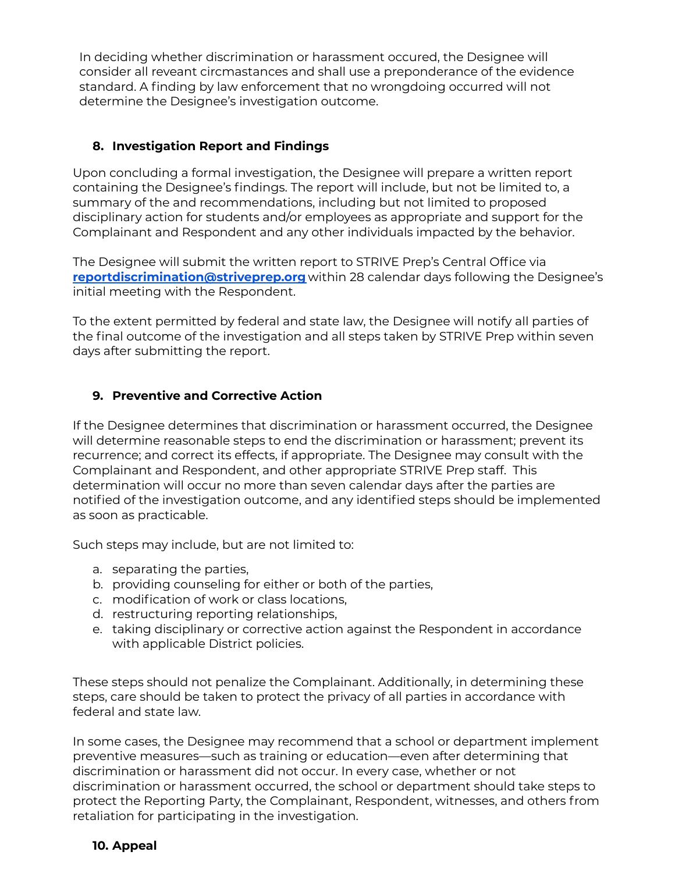In deciding whether discrimination or harassment occured, the Designee will consider all reveant circmastances and shall use a preponderance of the evidence standard. A finding by law enforcement that no wrongdoing occurred will not determine the Designee's investigation outcome.

## **8. Investigation Report and Findings**

Upon concluding a formal investigation, the Designee will prepare a written report containing the Designee's findings. The report will include, but not be limited to, a summary of the and recommendations, including but not limited to proposed disciplinary action for students and/or employees as appropriate and support for the Complainant and Respondent and any other individuals impacted by the behavior.

The Designee will submit the written report to STRIVE Prep's Central Office via **[reportdiscrimination@striveprep.org](mailto:reportdiscrimination@striveprep.org)** within 28 calendar days following the Designee's initial meeting with the Respondent.

To the extent permitted by federal and state law, the Designee will notify all parties of the final outcome of the investigation and all steps taken by STRIVE Prep within seven days after submitting the report.

## **9. Preventive and Corrective Action**

If the Designee determines that discrimination or harassment occurred, the Designee will determine reasonable steps to end the discrimination or harassment; prevent its recurrence; and correct its effects, if appropriate. The Designee may consult with the Complainant and Respondent, and other appropriate STRIVE Prep staff. This determination will occur no more than seven calendar days after the parties are notified of the investigation outcome, and any identified steps should be implemented as soon as practicable.

Such steps may include, but are not limited to:

- a. separating the parties,
- b. providing counseling for either or both of the parties,
- c. modification of work or class locations,
- d. restructuring reporting relationships,
- e. taking disciplinary or corrective action against the Respondent in accordance with applicable District policies.

These steps should not penalize the Complainant. Additionally, in determining these steps, care should be taken to protect the privacy of all parties in accordance with federal and state law.

In some cases, the Designee may recommend that a school or department implement preventive measures—such as training or education—even after determining that discrimination or harassment did not occur. In every case, whether or not discrimination or harassment occurred, the school or department should take steps to protect the Reporting Party, the Complainant, Respondent, witnesses, and others from retaliation for participating in the investigation.

### **10. Appeal**